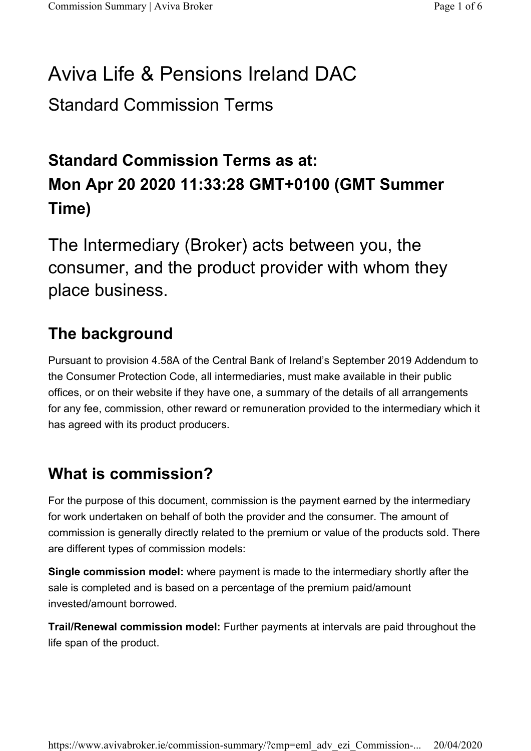# Aviva Life & Pensions Ireland DAC

Standard Commission Terms

# Standard Commission Terms as at: Mon Apr 20 2020 11:33:28 GMT+0100 (GMT Summer Time)

The Intermediary (Broker) acts between you, the consumer, and the product provider with whom they place business.

### The background

Pursuant to provision 4.58A of the Central Bank of Ireland's September 2019 Addendum to the Consumer Protection Code, all intermediaries, must make available in their public offices, or on their website if they have one, a summary of the details of all arrangements for any fee, commission, other reward or remuneration provided to the intermediary which it has agreed with its product producers.

#### What is commission?

For the purpose of this document, commission is the payment earned by the intermediary for work undertaken on behalf of both the provider and the consumer. The amount of commission is generally directly related to the premium or value of the products sold. There are different types of commission models:

Single commission model: where payment is made to the intermediary shortly after the sale is completed and is based on a percentage of the premium paid/amount invested/amount borrowed.

Trail/Renewal commission model: Further payments at intervals are paid throughout the life span of the product.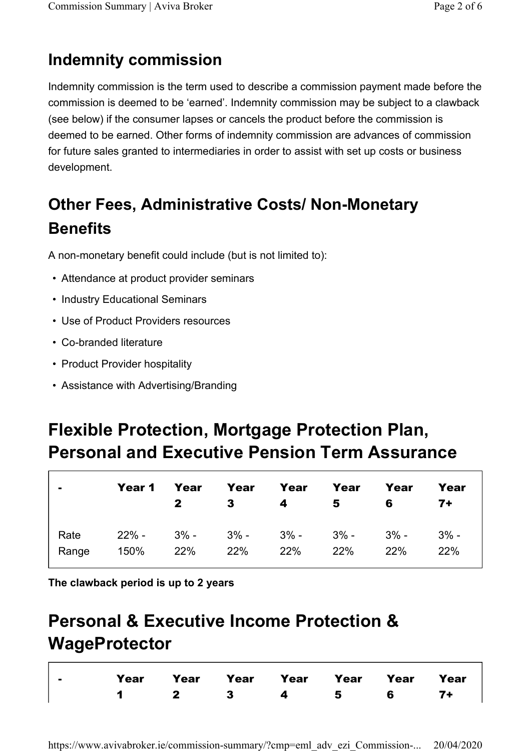### Indemnity commission

Indemnity commission is the term used to describe a commission payment made before the commission is deemed to be 'earned'. Indemnity commission may be subject to a clawback (see below) if the consumer lapses or cancels the product before the commission is deemed to be earned. Other forms of indemnity commission are advances of commission for future sales granted to intermediaries in order to assist with set up costs or business development.

# Other Fees, Administrative Costs/ Non-Monetary **Benefits**

A non-monetary benefit could include (but is not limited to):

- Attendance at product provider seminars
- Industry Educational Seminars
- Use of Product Providers resources
- Co-branded literature
- Product Provider hospitality
- Assistance with Advertising/Branding

# Flexible Protection, Mortgage Protection Plan, Personal and Executive Pension Term Assurance

|               | Year 1 Year                                    | $\mathbf{2}$ | $\overline{\mathbf{3}}$ | Year Year<br>4 5 | Year | Year<br>6 | Year<br>7+    |
|---------------|------------------------------------------------|--------------|-------------------------|------------------|------|-----------|---------------|
| Rate<br>Range | $22\%$ - 3% - 3% - 3% - 3% - 3% - 3% -<br>150% | 22%          | 22%                     | 22%              | 22%  | 22%       | $3% -$<br>22% |

The clawback period is up to 2 years

# Personal & Executive Income Protection & **WageProtector**

|  |  | Year Year Year Year Year Year Year Year |  |  |
|--|--|-----------------------------------------|--|--|
|  |  | $1 \t2 \t3 \t4 \t5 \t6 \t7+$            |  |  |

https://www.avivabroker.ie/commission-summary/?cmp=eml\_adv\_ezi\_Commission-... 20/04/2020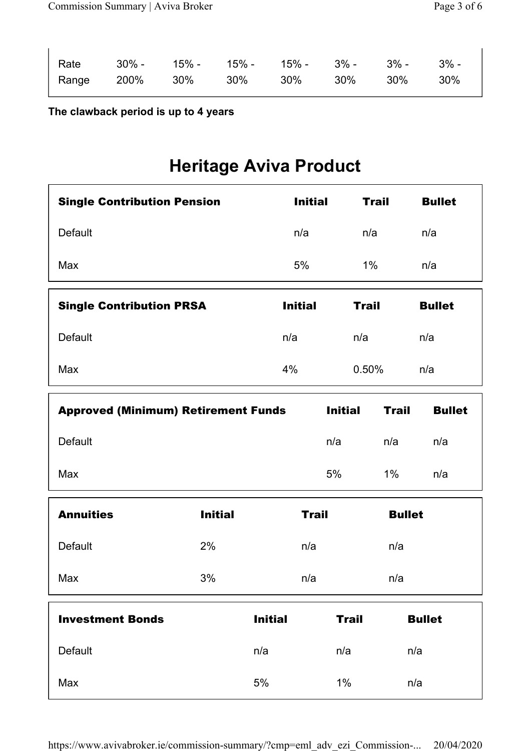| Rate    30% -   15% -   15% -   15% -   3% -    3% -   3% - |  |  |  |  |
|-------------------------------------------------------------|--|--|--|--|
| Range 200% 30% 30% 30% 30% 30% 30%                          |  |  |  |  |

#### The clawback period is up to 4 years

## Heritage Aviva Product

| <b>Single Contribution Pension</b> | <b>Initial</b> | <b>Trail</b> | <b>Bullet</b> |
|------------------------------------|----------------|--------------|---------------|
| <b>Default</b>                     | n/a            | n/a          | n/a           |
| Max                                | 5%             | $1\%$        | n/a           |
|                                    |                |              |               |
| <b>Single Contribution PRSA</b>    | <b>Initial</b> | <b>Trail</b> | <b>Bullet</b> |
| Default                            | n/a            | n/a          | n/a           |

| <b>Approved (Minimum) Retirement Funds</b> | <b>Initial</b> | Trail | <b>Bullet</b> |
|--------------------------------------------|----------------|-------|---------------|
| Default                                    | n/a            | n/a   | n/a           |
| Max                                        | 5%             | $1\%$ | n/a           |

| <b>Annuities</b>        | <b>Initial</b> |                | <b>Trail</b> |              |     | <b>Bullet</b> |
|-------------------------|----------------|----------------|--------------|--------------|-----|---------------|
| <b>Default</b>          | 2%             |                | n/a          |              | n/a |               |
| Max                     | 3%             |                | n/a          |              | n/a |               |
| <b>Investment Bonds</b> |                |                |              |              |     |               |
|                         |                | <b>Initial</b> |              | <b>Trail</b> |     | <b>Bullet</b> |
| <b>Default</b>          |                | n/a            |              | n/a          |     | n/a           |

https://www.avivabroker.ie/commission-summary/?cmp=eml\_adv\_ezi\_Commission-... 20/04/2020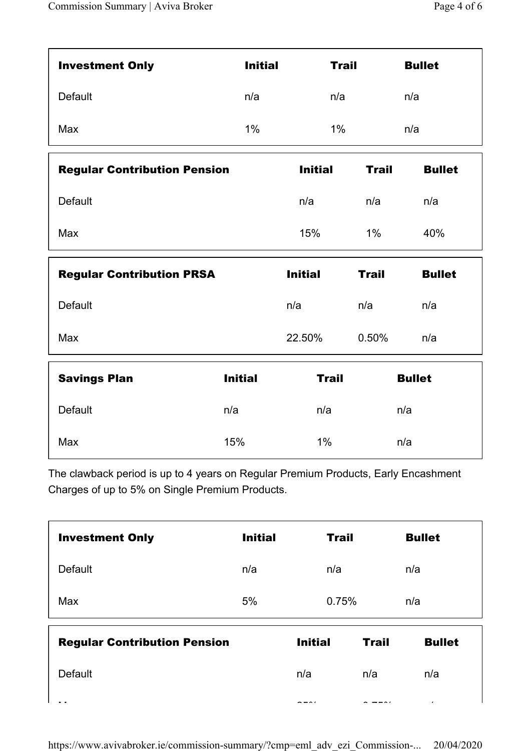| <b>Investment Only</b> | <b>Initial</b> | <b>Trail</b> | <b>Bullet</b> |
|------------------------|----------------|--------------|---------------|
| <b>Default</b>         | n/a            | n/a          | n/a           |
| Max                    | 1%             | 1%           | n/a           |

| <b>Regular Contribution Pension</b> | <b>Initial</b> | Trail | <b>Bullet</b> |
|-------------------------------------|----------------|-------|---------------|
| Default                             | n/a            | n/a   | n/a           |
| Max                                 | 15%            | 1%    | 40%           |

| <b>Regular Contribution PRSA</b> | <b>Initial</b> | Trail    | <b>Bullet</b> |
|----------------------------------|----------------|----------|---------------|
| Default                          | n/a            | n/a      | n/a           |
| Max                              | 22.50%         | $0.50\%$ | n/a           |

| <b>Savings Plan</b> | <b>Initial</b> | <b>Trail</b> | <b>Bullet</b> |
|---------------------|----------------|--------------|---------------|
| <b>Default</b>      | n/a            | n/a          | n/a           |
| Max                 | 15%            | $1\%$        | n/a           |

The clawback period is up to 4 years on Regular Premium Products, Early Encashment Charges of up to 5% on Single Premium Products.

| <b>Investment Only</b>              | <b>Initial</b> |                     | <b>Trail</b> |              |     | <b>Bullet</b> |
|-------------------------------------|----------------|---------------------|--------------|--------------|-----|---------------|
| <b>Default</b>                      | n/a            |                     | n/a          |              | n/a |               |
| Max                                 | 5%             |                     | 0.75%        |              | n/a |               |
| <b>Regular Contribution Pension</b> |                | <b>Initial</b>      |              | <b>Trail</b> |     | <b>Bullet</b> |
| <b>Default</b>                      |                | n/a                 |              | n/a          |     | n/a           |
|                                     |                | $\bullet - \bullet$ |              |              |     | ٠             |

 $\overline{a}$  , and  $\overline{a}$  or  $\overline{a}$  or  $\overline{a}$  or  $\overline{a}$  or  $\overline{a}$  or  $\overline{a}$  or  $\overline{a}$  or  $\overline{a}$  or  $\overline{a}$  or  $\overline{a}$  or  $\overline{a}$  or  $\overline{a}$  or  $\overline{a}$  or  $\overline{a}$  or  $\overline{a}$  or  $\overline{a}$  or  $\overline{a}$  or  $\$